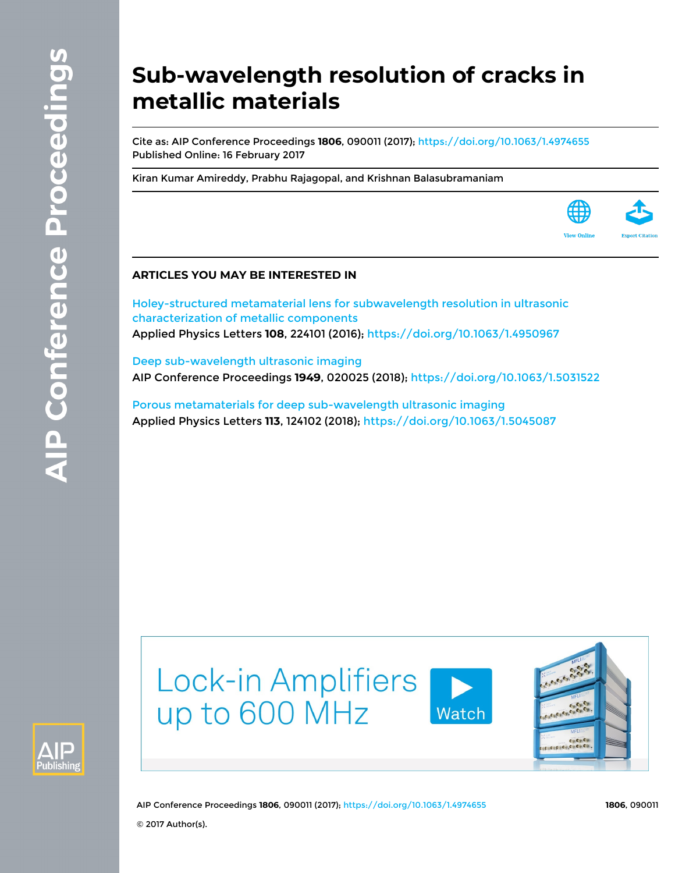# **Sub-wavelength resolution of cracks in metallic materials**

Cite as: AIP Conference Proceedings **1806**, 090011 (2017);<https://doi.org/10.1063/1.4974655> Published Online: 16 February 2017

[Kiran Kumar Amireddy](https://aip.scitation.org/author/Amireddy%2C+Kiran+Kumar), [Prabhu Rajagopal](https://aip.scitation.org/author/Rajagopal%2C+Prabhu), and [Krishnan Balasubramaniam](https://aip.scitation.org/author/Balasubramaniam%2C+Krishnan)



[Holey-structured metamaterial lens for subwavelength resolution in ultrasonic](https://aip.scitation.org/doi/10.1063/1.4950967) [characterization of metallic components](https://aip.scitation.org/doi/10.1063/1.4950967) Applied Physics Letters **108**, 224101 (2016);<https://doi.org/10.1063/1.4950967>

[Deep sub-wavelength ultrasonic imaging](https://aip.scitation.org/doi/10.1063/1.5031522) AIP Conference Proceedings **1949**, 020025 (2018); <https://doi.org/10.1063/1.5031522>

[Porous metamaterials for deep sub-wavelength ultrasonic imaging](https://aip.scitation.org/doi/10.1063/1.5045087) Applied Physics Letters **113**, 124102 (2018); <https://doi.org/10.1063/1.5045087>





AIP Conference Proceedings **1806**, 090011 (2017); <https://doi.org/10.1063/1.4974655> **1806**, 090011

**View Onlin** 

© 2017 Author(s).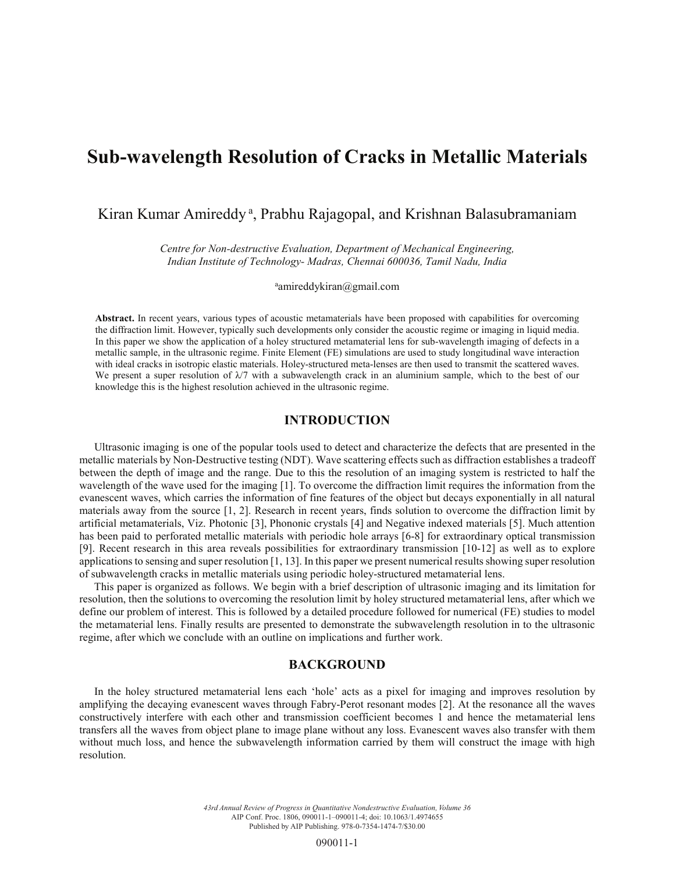## **Sub-wavelength Resolution of Cracks in Metallic Materials**

### Kiran Kumar Amireddy<sup>a</sup>, Prabhu Rajagopal, and Krishnan Balasubramaniam

*Centre for Non-destructive Evaluation, Department of Mechanical Engineering, Indian Institute of Technology- Madras, Chennai 600036, Tamil Nadu, India*

amireddykiran@gmail.com

**Abstract.** In recent years, various types of acoustic metamaterials have been proposed with capabilities for overcoming the diffraction limit. However, typically such developments only consider the acoustic regime or imaging in liquid media. In this paper we show the application of a holey structured metamaterial lens for sub-wavelength imaging of defects in a metallic sample, in the ultrasonic regime. Finite Element (FE) simulations are used to study longitudinal wave interaction with ideal cracks in isotropic elastic materials. Holey-structured meta-lenses are then used to transmit the scattered waves. We present a super resolution of  $\lambda/7$  with a subwavelength crack in an aluminium sample, which to the best of our knowledge this is the highest resolution achieved in the ultrasonic regime.

#### **INTRODUCTION**

Ultrasonic imaging is one of the popular tools used to detect and characterize the defects that are presented in the metallic materials by Non-Destructive testing (NDT). Wave scattering effects such as diffraction establishes a tradeoff between the depth of image and the range. Due to this the resolution of an imaging system is restricted to half the wavelength of the wave used for the imaging [1]. To overcome the diffraction limit requires the information from the evanescent waves, which carries the information of fine features of the object but decays exponentially in all natural materials away from the source [1, 2]. Research in recent years, finds solution to overcome the diffraction limit by artificial metamaterials, Viz. Photonic [3], Phononic crystals [4] and Negative indexed materials [5]. Much attention has been paid to perforated metallic materials with periodic hole arrays [6-8] for extraordinary optical transmission [9]. Recent research in this area reveals possibilities for extraordinary transmission [10-12] as well as to explore applications to sensing and super resolution [1, 13]. In this paper we present numerical results showing super resolution of subwavelength cracks in metallic materials using periodic holey-structured metamaterial lens.

This paper is organized as follows. We begin with a brief description of ultrasonic imaging and its limitation for resolution, then the solutions to overcoming the resolution limit by holey structured metamaterial lens, after which we define our problem of interest. This is followed by a detailed procedure followed for numerical (FE) studies to model the metamaterial lens. Finally results are presented to demonstrate the subwavelength resolution in to the ultrasonic regime, after which we conclude with an outline on implications and further work.

#### **BACKGROUND**

In the holey structured metamaterial lens each 'hole' acts as a pixel for imaging and improves resolution by amplifying the decaying evanescent waves through Fabry-Perot resonant modes [2]. At the resonance all the waves constructively interfere with each other and transmission coefficient becomes 1 and hence the metamaterial lens transfers all the waves from object plane to image plane without any loss. Evanescent waves also transfer with them without much loss, and hence the subwavelength information carried by them will construct the image with high resolution.

> *43rd Annual Review of Progress in Quantitative Nondestructive Evaluation, Volume 36* AIP Conf. Proc. 1806, 090011-1–090011-4; doi: 10.1063/1.4974655 Published by AIP Publishing. 978-0-7354-1474-7/\$30.00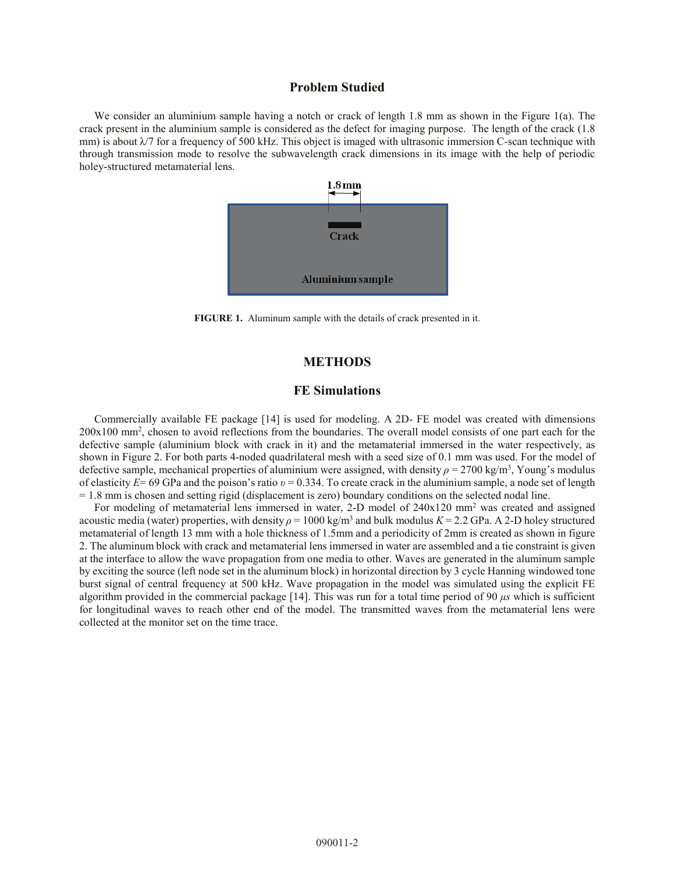#### **Problem Studied**

We consider an aluminium sample having a notch or crack of length 1.8 mm as shown in the Figure 1(a). The crack present in the aluminium sample is considered as the defect for imaging purpose. The length of the crack (1.8 mm) is about  $\lambda/7$  for a frequency of 500 kHz. This object is imaged with ultrasonic immersion C-scan technique with through transmission mode to resolve the subwavelength crack dimensions in its image with the help of periodic holey-structured metamaterial lens.



**FIGURE 1.** Aluminum sample with the details of crack presented in it.

#### **METHODS**

#### **FE Simulations**

Commercially available FE package [14] is used for modeling. A 2D- FE model was created with dimensions 200x100 mm2 , chosen to avoid reflections from the boundaries. The overall model consists of one part each for the defective sample (aluminium block with crack in it) and the metamaterial immersed in the water respectively, as shown in Figure 2. For both parts 4-noded quadrilateral mesh with a seed size of 0.1 mm was used. For the model of defective sample, mechanical properties of aluminium were assigned, with density  $\rho = 2700 \text{ kg/m}^3$ , Young's modulus of elasticity  $E= 69$  GPa and the poison's ratio  $v = 0.334$ . To create crack in the aluminium sample, a node set of length = 1.8 mm is chosen and setting rigid (displacement is zero) boundary conditions on the selected nodal line.

For modeling of metamaterial lens immersed in water, 2-D model of 240x120 mm<sup>2</sup> was created and assigned acoustic media (water) properties, with density  $\rho = 1000 \text{ kg/m}^3$  and bulk modulus  $K = 2.2 \text{ GPa}$ . A 2-D holey structured metamaterial of length 13 mm with a hole thickness of 1.5mm and a periodicity of 2mm is created as shown in figure 2. The aluminum block with crack and metamaterial lens immersed in water are assembled and a tie constraint is given at the interface to allow the wave propagation from one media to other. Waves are generated in the aluminum sample by exciting the source (left node set in the aluminum block) in horizontal direction by 3 cycle Hanning windowed tone burst signal of central frequency at 500 kHz. Wave propagation in the model was simulated using the explicit FE algorithm provided in the commercial package [14]. This was run for a total time period of 90  $\mu$ s which is sufficient for longitudinal waves to reach other end of the model. The transmitted waves from the metamaterial lens were collected at the monitor set on the time trace.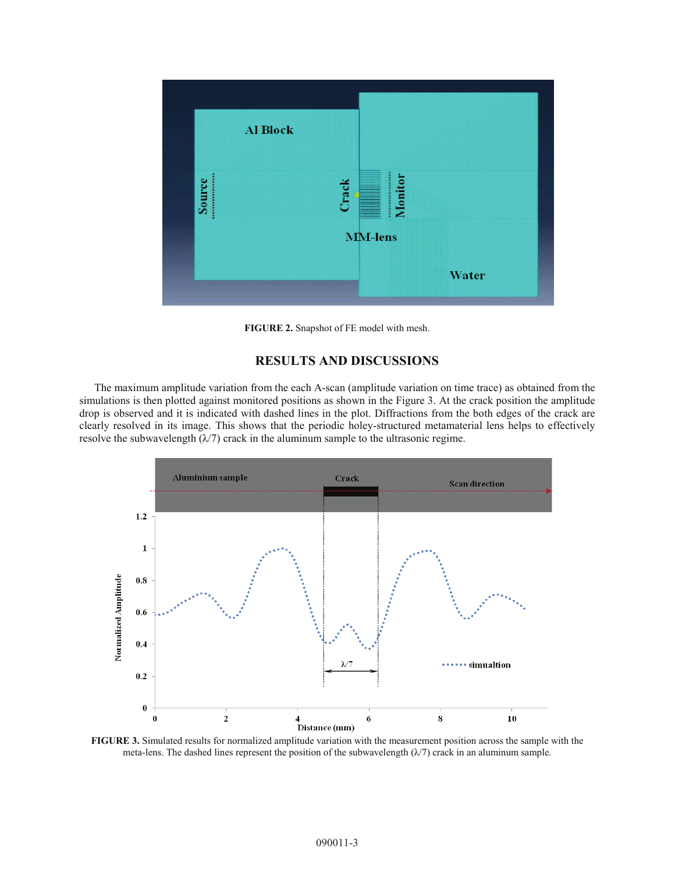

**FIGURE 2.** Snapshot of FE model with mesh.

#### **RESULTS AND DISCUSSIONS**

The maximum amplitude variation from the each A-scan (amplitude variation on time trace) as obtained from the simulations is then plotted against monitored positions as shown in the Figure 3. At the crack position the amplitude drop is observed and it is indicated with dashed lines in the plot. Diffractions from the both edges of the crack are clearly resolved in its image. This shows that the periodic holey-structured metamaterial lens helps to effectively resolve the subwavelength  $(\lambda/7)$  crack in the aluminum sample to the ultrasonic regime.



**FIGURE 3.** Simulated results for normalized amplitude variation with the measurement position across the sample with the meta-lens. The dashed lines represent the position of the subwavelength  $(\lambda/7)$  crack in an aluminum sample.